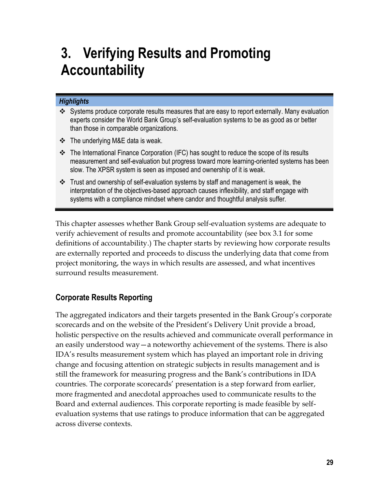# **3. Verifying Results and Promoting Accountability**

#### *Highlights*

- Systems produce corporate results measures that are easy to report externally. Many evaluation experts consider the World Bank Group's self-evaluation systems to be as good as or better than those in comparable organizations.
- $\div$  The underlying M&E data is weak.
- $\div$  The International Finance Corporation (IFC) has sought to reduce the scope of its results measurement and self-evaluation but progress toward more learning-oriented systems has been slow. The XPSR system is seen as imposed and ownership of it is weak.
- $\clubsuit$  Trust and ownership of self-evaluation systems by staff and management is weak, the interpretation of the objectives-based approach causes inflexibility, and staff engage with systems with a compliance mindset where candor and thoughtful analysis suffer.

This chapter assesses whether Bank Group self-evaluation systems are adequate to verify achievement of results and promote accountability (see box 3.1 for some definitions of accountability.) The chapter starts by reviewing how corporate results are externally reported and proceeds to discuss the underlying data that come from project monitoring, the ways in which results are assessed, and what incentives surround results measurement.

# **Corporate Results Reporting**

The aggregated indicators and their targets presented in the Bank Group's corporate scorecards and on the website of the President's Delivery Unit provide a broad, holistic perspective on the results achieved and communicate overall performance in an easily understood way—a noteworthy achievement of the systems. There is also IDA's results measurement system which has played an important role in driving change and focusing attention on strategic subjects in results management and is still the framework for measuring progress and the Bank's contributions in IDA countries. The corporate scorecards' presentation is a step forward from earlier, more fragmented and anecdotal approaches used to communicate results to the Board and external audiences. This corporate reporting is made feasible by selfevaluation systems that use ratings to produce information that can be aggregated across diverse contexts.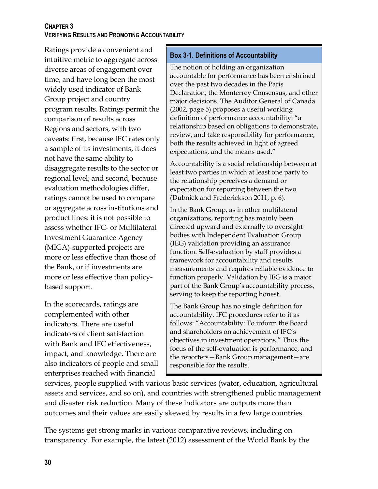Ratings provide a convenient and intuitive metric to aggregate across diverse areas of engagement over time, and have long been the most widely used indicator of Bank Group project and country program results. Ratings permit the comparison of results across Regions and sectors, with two caveats: first, because IFC rates only a sample of its investments, it does not have the same ability to disaggregate results to the sector or regional level; and second, because evaluation methodologies differ, ratings cannot be used to compare or aggregate across institutions and product lines: it is not possible to assess whether IFC- or Multilateral Investment Guarantee Agency (MIGA)-supported projects are more or less effective than those of the Bank, or if investments are more or less effective than policybased support.

In the scorecards, ratings are complemented with other indicators. There are useful indicators of client satisfaction with Bank and IFC effectiveness, impact, and knowledge. There are also indicators of people and small enterprises reached with financial

#### **Box 3-1. Definitions of Accountability**

The notion of holding an organization accountable for performance has been enshrined over the past two decades in the Paris Declaration, the Monterrey Consensus, and other major decisions. The Auditor General of Canada (2002, page 5) proposes a useful working definition of performance accountability: "a relationship based on obligations to demonstrate, review, and take responsibility for performance, both the results achieved in light of agreed expectations, and the means used."

Accountability is a social relationship between at least two parties in which at least one party to the relationship perceives a demand or expectation for reporting between the two (Dubnick and Frederickson 2011, p. 6).

In the Bank Group, as in other multilateral organizations, reporting has mainly been directed upward and externally to oversight bodies with Independent Evaluation Group (IEG) validation providing an assurance function. Self-evaluation by staff provides a framework for accountability and results measurements and requires reliable evidence to function properly. Validation by IEG is a major part of the Bank Group's accountability process, serving to keep the reporting honest.

The Bank Group has no single definition for accountability. IFC procedures refer to it as follows: "Accountability: To inform the Board and shareholders on achievement of IFC's objectives in investment operations." Thus the focus of the self-evaluation is performance, and the reporters—Bank Group management—are responsible for the results.

services, people supplied with various basic services (water, education, agricultural assets and services, and so on), and countries with strengthened public management and disaster risk reduction. Many of these indicators are outputs more than outcomes and their values are easily skewed by results in a few large countries.

The systems get strong marks in various comparative reviews, including on transparency. For example, the latest (2012) assessment of the World Bank by the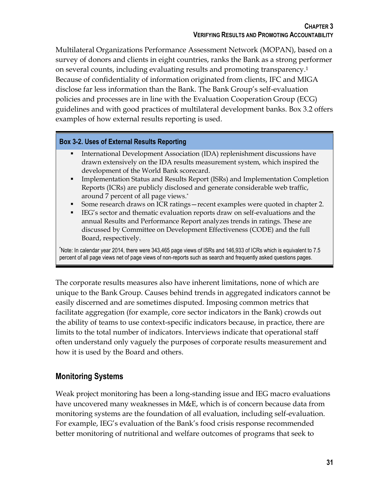Multilateral Organizations Performance Assessment Network (MOPAN), based on a survey of donors and clients in eight countries, ranks the Bank as a strong performer on several counts, including evaluating results and promoting transparency.<sup>1</sup> Because of confidentiality of information originated from clients, IFC and MIGA disclose far less information than the Bank. The Bank Group's self-evaluation policies and processes are in line with the Evaluation Cooperation Group (ECG) guidelines and with good practices of multilateral development banks. Box 3.2 offers examples of how external results reporting is used.

# **Box 3-2. Uses of External Results Reporting**

- International Development Association (IDA) replenishment discussions have drawn extensively on the IDA results measurement system, which inspired the development of the World Bank scorecard.
- Implementation Status and Results Report (ISRs) and Implementation Completion Reports (ICRs) are publicly disclosed and generate considerable web traffic, around 7 percent of all page views.\*
- Some research draws on ICR ratings—recent examples were quoted in chapter 2.
- IEG's sector and thematic evaluation reports draw on self-evaluations and the annual Results and Performance Report analyzes trends in ratings. These are discussed by Committee on Development Effectiveness (CODE) and the full Board, respectively.

\*Note: In calendar year 2014, there were 343,465 page views of ISRs and 146,933 of ICRs which is equivalent to 7.5 percent of all page views net of page views of non-reports such as search and frequently asked questions pages.

The corporate results measures also have inherent limitations, none of which are unique to the Bank Group. Causes behind trends in aggregated indicators cannot be easily discerned and are sometimes disputed. Imposing common metrics that facilitate aggregation (for example, core sector indicators in the Bank) crowds out the ability of teams to use context-specific indicators because, in practice, there are limits to the total number of indicators. Interviews indicate that operational staff often understand only vaguely the purposes of corporate results measurement and how it is used by the Board and others.

# **Monitoring Systems**

Weak project monitoring has been a long-standing issue and IEG macro evaluations have uncovered many weaknesses in M&E, which is of concern because data from monitoring systems are the foundation of all evaluation, including self-evaluation. For example, IEG's evaluation of the Bank's food crisis response recommended better monitoring of nutritional and welfare outcomes of programs that seek to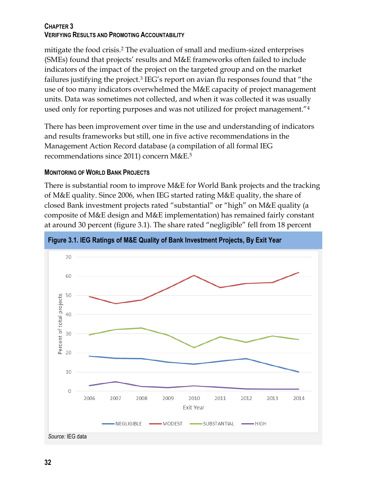mitigate the food crisis.<sup>2</sup> The evaluation of small and medium-sized enterprises (SMEs) found that projects' results and M&E frameworks often failed to include indicators of the impact of the project on the targeted group and on the market failures justifying the project.<sup>3</sup> IEG's report on avian flu responses found that "the use of too many indicators overwhelmed the M&E capacity of project management units. Data was sometimes not collected, and when it was collected it was usually used only for reporting purposes and was not utilized for project management."<sup>4</sup>

There has been improvement over time in the use and understanding of indicators and results frameworks but still, one in five active recommendations in the Management Action Record database (a compilation of all formal IEG recommendations since 2011) concern M&E.<sup>5</sup>

#### **MONITORING OF WORLD BANK PROJECTS**

There is substantial room to improve M&E for World Bank projects and the tracking of M&E quality. Since 2006, when IEG started rating M&E quality, the share of closed Bank investment projects rated "substantial" or "high" on M&E quality (a composite of M&E design and M&E implementation) has remained fairly constant at around 30 percent (figure 3.1). The share rated "negligible" fell from 18 percent

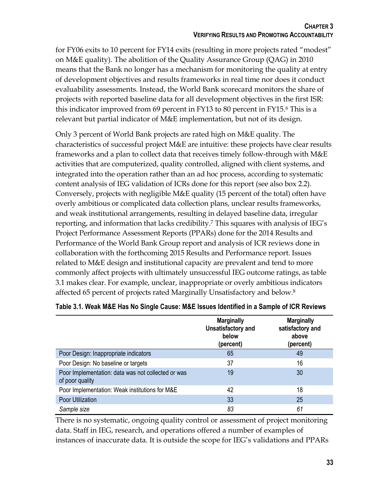for FY06 exits to 10 percent for FY14 exits (resulting in more projects rated "modest" on M&E quality). The abolition of the Quality Assurance Group (QAG) in 2010 means that the Bank no longer has a mechanism for monitoring the quality at entry of development objectives and results frameworks in real time nor does it conduct evaluability assessments. Instead, the World Bank scorecard monitors the share of projects with reported baseline data for all development objectives in the first ISR: this indicator improved from 69 percent in FY13 to 80 percent in FY15.<sup>6</sup> This is a relevant but partial indicator of M&E implementation, but not of its design.

Only 3 percent of World Bank projects are rated high on M&E quality. The characteristics of successful project M&E are intuitive: these projects have clear results frameworks and a plan to collect data that receives timely follow-through with M&E activities that are computerized, quality controlled, aligned with client systems, and integrated into the operation rather than an ad hoc process, according to systematic content analysis of IEG validation of ICRs done for this report (see also box 2.2). Conversely, projects with negligible M&E quality (15 percent of the total) often have overly ambitious or complicated data collection plans, unclear results frameworks, and weak institutional arrangements, resulting in delayed baseline data, irregular reporting, and information that lacks credibility.<sup>7</sup> This squares with analysis of IEG's Project Performance Assessment Reports (PPARs) done for the 2014 Results and Performance of the World Bank Group report and analysis of ICR reviews done in collaboration with the forthcoming 2015 Results and Performance report. Issues related to M&E design and institutional capacity are prevalent and tend to more commonly affect projects with ultimately unsuccessful IEG outcome ratings, as table 3.1 makes clear. For example, unclear, inappropriate or overly ambitious indicators affected 65 percent of projects rated Marginally Unsatisfactory and below. 8

|                                                                       | <b>Marginally</b><br>Unsatisfactory and<br>below<br>(percent) | <b>Marginally</b><br>satisfactory and<br>above<br>(percent) |
|-----------------------------------------------------------------------|---------------------------------------------------------------|-------------------------------------------------------------|
| Poor Design: Inappropriate indicators                                 | 65                                                            | 49                                                          |
| Poor Design: No baseline or targets                                   | 37                                                            | 16                                                          |
| Poor Implementation: data was not collected or was<br>of poor quality | 19                                                            | 30                                                          |
| Poor Implementation: Weak institutions for M&E                        | 42                                                            | 18                                                          |
| Poor Utilization                                                      | 33                                                            | 25                                                          |
| Sample size                                                           | 83                                                            | 61                                                          |

There is no systematic, ongoing quality control or assessment of project monitoring data. Staff in IEG, research, and operations offered a number of examples of instances of inaccurate data. It is outside the scope for IEG's validations and PPARs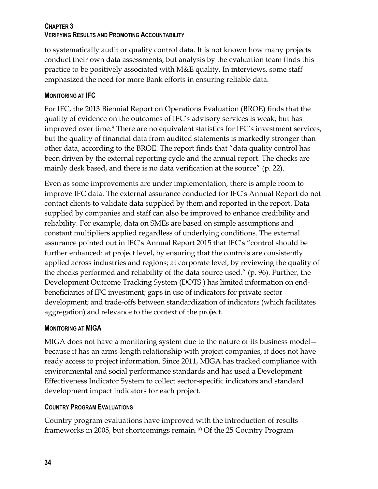to systematically audit or quality control data. It is not known how many projects conduct their own data assessments, but analysis by the evaluation team finds this practice to be positively associated with M&E quality. In interviews, some staff emphasized the need for more Bank efforts in ensuring reliable data.

# **MONITORING AT IFC**

For IFC, the 2013 Biennial Report on Operations Evaluation (BROE) finds that the quality of evidence on the outcomes of IFC's advisory services is weak, but has improved over time.<sup>9</sup> There are no equivalent statistics for IFC's investment services, but the quality of financial data from audited statements is markedly stronger than other data, according to the BROE. The report finds that "data quality control has been driven by the external reporting cycle and the annual report. The checks are mainly desk based, and there is no data verification at the source" (p. 22).

Even as some improvements are under implementation, there is ample room to improve IFC data. The external assurance conducted for IFC's Annual Report do not contact clients to validate data supplied by them and reported in the report. Data supplied by companies and staff can also be improved to enhance credibility and reliability. For example, data on SMEs are based on simple assumptions and constant multipliers applied regardless of underlying conditions. The external assurance pointed out in IFC's Annual Report 2015 that IFC's "control should be further enhanced: at project level, by ensuring that the controls are consistently applied across industries and regions; at corporate level, by reviewing the quality of the checks performed and reliability of the data source used." (p. 96). Further, the Development Outcome Tracking System (DOTS ) has limited information on endbeneficiaries of IFC investment; gaps in use of indicators for private sector development; and trade-offs between standardization of indicators (which facilitates aggregation) and relevance to the context of the project.

# **MONITORING AT MIGA**

MIGA does not have a monitoring system due to the nature of its business model because it has an arms-length relationship with project companies, it does not have ready access to project information. Since 2011, MIGA has tracked compliance with environmental and social performance standards and has used a Development Effectiveness Indicator System to collect sector-specific indicators and standard development impact indicators for each project.

# **COUNTRY PROGRAM EVALUATIONS**

Country program evaluations have improved with the introduction of results frameworks in 2005, but shortcomings remain.<sup>10</sup> Of the 25 Country Program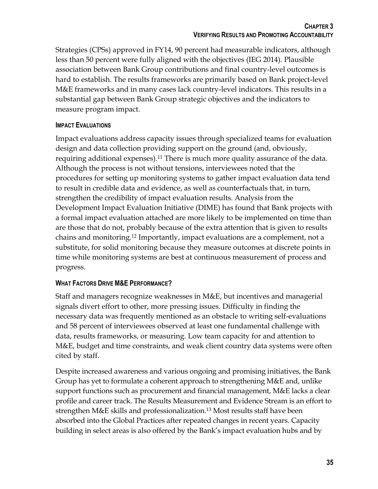Strategies (CPSs) approved in FY14, 90 percent had measurable indicators, although less than 50 percent were fully aligned with the objectives (IEG 2014). Plausible association between Bank Group contributions and final country-level outcomes is hard to establish. The results frameworks are primarily based on Bank project-level M&E frameworks and in many cases lack country-level indicators. This results in a substantial gap between Bank Group strategic objectives and the indicators to measure program impact.

# **IMPACT EVALUATIONS**

Impact evaluations address capacity issues through specialized teams for evaluation design and data collection providing support on the ground (and, obviously, requiring additional expenses).<sup>11</sup> There is much more quality assurance of the data. Although the process is not without tensions, interviewees noted that the procedures for setting up monitoring systems to gather impact evaluation data tend to result in credible data and evidence, as well as counterfactuals that, in turn, strengthen the credibility of impact evaluation results. Analysis from the Development Impact Evaluation Initiative (DIME) has found that Bank projects with a formal impact evaluation attached are more likely to be implemented on time than are those that do not, probably because of the extra attention that is given to results chains and monitoring.<sup>12</sup> Importantly, impact evaluations are a complement, not a substitute, for solid monitoring because they measure outcomes at discrete points in time while monitoring systems are best at continuous measurement of process and progress.

# **WHAT FACTORS DRIVE M&E PERFORMANCE?**

Staff and managers recognize weaknesses in M&E, but incentives and managerial signals divert effort to other, more pressing issues. Difficulty in finding the necessary data was frequently mentioned as an obstacle to writing self-evaluations and 58 percent of interviewees observed at least one fundamental challenge with data, results frameworks, or measuring. Low team capacity for and attention to M&E, budget and time constraints, and weak client country data systems were often cited by staff.

Despite increased awareness and various ongoing and promising initiatives, the Bank Group has yet to formulate a coherent approach to strengthening M&E and, unlike support functions such as procurement and financial management, M&E lacks a clear profile and career track. The Results Measurement and Evidence Stream is an effort to strengthen M&E skills and professionalization. <sup>13</sup> Most results staff have been absorbed into the Global Practices after repeated changes in recent years. Capacity building in select areas is also offered by the Bank's impact evaluation hubs and by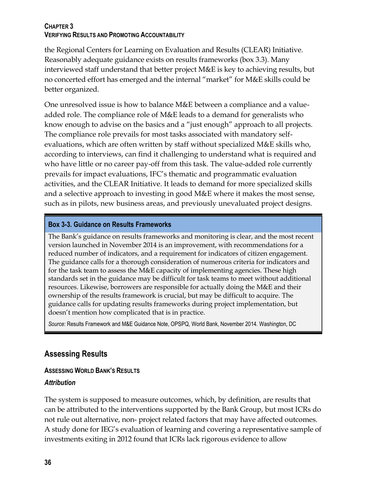the Regional Centers for Learning on Evaluation and Results (CLEAR) Initiative. Reasonably adequate guidance exists on results frameworks (box 3.3). Many interviewed staff understand that better project M&E is key to achieving results, but no concerted effort has emerged and the internal "market" for M&E skills could be better organized.

One unresolved issue is how to balance M&E between a compliance and a valueadded role. The compliance role of M&E leads to a demand for generalists who know enough to advise on the basics and a "just enough" approach to all projects. The compliance role prevails for most tasks associated with mandatory selfevaluations, which are often written by staff without specialized M&E skills who, according to interviews, can find it challenging to understand what is required and who have little or no career pay-off from this task. The value-added role currently prevails for impact evaluations, IFC's thematic and programmatic evaluation activities, and the CLEAR Initiative. It leads to demand for more specialized skills and a selective approach to investing in good M&E where it makes the most sense, such as in pilots, new business areas, and previously unevaluated project designs.

# **Box 3-3. Guidance on Results Frameworks**

The Bank's guidance on results frameworks and monitoring is clear, and the most recent version launched in November 2014 is an improvement, with recommendations for a reduced number of indicators, and a requirement for indicators of citizen engagement. The guidance calls for a thorough consideration of numerous criteria for indicators and for the task team to assess the M&E capacity of implementing agencies. These high standards set in the guidance may be difficult for task teams to meet without additional resources. Likewise, borrowers are responsible for actually doing the M&E and their ownership of the results framework is crucial, but may be difficult to acquire. The guidance calls for updating results frameworks during project implementation, but doesn't mention how complicated that is in practice.

*Source:* Results Framework and M&E Guidance Note, OPSPQ, World Bank, November 2014. Washington, DC

# **Assessing Results**

# **ASSESSING WORLD BANK'S RESULTS**

# *Attribution*

The system is supposed to measure outcomes, which, by definition, are results that can be attributed to the interventions supported by the Bank Group, but most ICRs do not rule out alternative, non- project related factors that may have affected outcomes. A study done for IEG's evaluation of learning and covering a representative sample of investments exiting in 2012 found that ICRs lack rigorous evidence to allow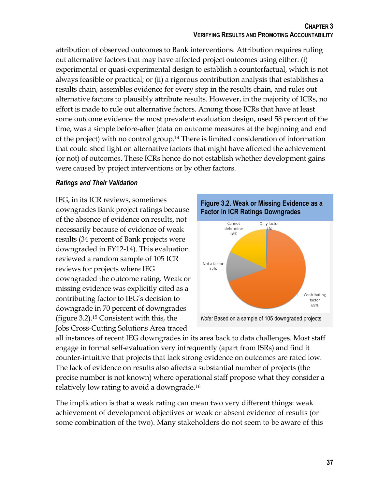attribution of observed outcomes to Bank interventions. Attribution requires ruling out alternative factors that may have affected project outcomes using either: (i) experimental or quasi-experimental design to establish a counterfactual, which is not always feasible or practical; or (ii) a rigorous contribution analysis that establishes a results chain, assembles evidence for every step in the results chain, and rules out alternative factors to plausibly attribute results. However, in the majority of ICRs, no effort is made to rule out alternative factors. Among those ICRs that have at least some outcome evidence the most prevalent evaluation design, used 58 percent of the time, was a simple before-after (data on outcome measures at the beginning and end of the project) with no control group.<sup>14</sup> There is limited consideration of information that could shed light on alternative factors that might have affected the achievement (or not) of outcomes. These ICRs hence do not establish whether development gains were caused by project interventions or by other factors.

# *Ratings and Their Validation*

IEG, in its ICR reviews, sometimes downgrades Bank project ratings because of the absence of evidence on results, not necessarily because of evidence of weak results (34 percent of Bank projects were downgraded in FY12-14). This evaluation reviewed a random sample of 105 ICR reviews for projects where IEG downgraded the outcome rating. Weak or missing evidence was explicitly cited as a contributing factor to IEG's decision to downgrade in 70 percent of downgrades (figure 3.2). <sup>15</sup> Consistent with this, the Jobs Cross-Cutting Solutions Area traced



all instances of recent IEG downgrades in its area back to data challenges. Most staff engage in formal self-evaluation very infrequently (apart from ISRs) and find it counter-intuitive that projects that lack strong evidence on outcomes are rated low. The lack of evidence on results also affects a substantial number of projects (the precise number is not known) where operational staff propose what they consider a relatively low rating to avoid a downgrade.<sup>16</sup>

The implication is that a weak rating can mean two very different things: weak achievement of development objectives or weak or absent evidence of results (or some combination of the two). Many stakeholders do not seem to be aware of this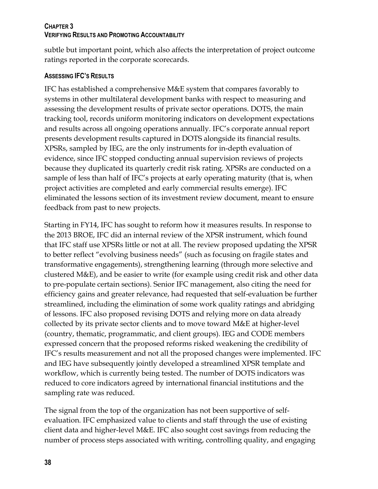subtle but important point, which also affects the interpretation of project outcome ratings reported in the corporate scorecards.

#### **ASSESSING IFC'S RESULTS**

IFC has established a comprehensive M&E system that compares favorably to systems in other multilateral development banks with respect to measuring and assessing the development results of private sector operations. DOTS, the main tracking tool, records uniform monitoring indicators on development expectations and results across all ongoing operations annually. IFC's corporate annual report presents development results captured in DOTS alongside its financial results. XPSRs, sampled by IEG, are the only instruments for in-depth evaluation of evidence, since IFC stopped conducting annual supervision reviews of projects because they duplicated its quarterly credit risk rating. XPSRs are conducted on a sample of less than half of IFC's projects at early operating maturity (that is, when project activities are completed and early commercial results emerge). IFC eliminated the lessons section of its investment review document, meant to ensure feedback from past to new projects.

Starting in FY14, IFC has sought to reform how it measures results. In response to the 2013 BROE, IFC did an internal review of the XPSR instrument, which found that IFC staff use XPSRs little or not at all. The review proposed updating the XPSR to better reflect "evolving business needs" (such as focusing on fragile states and transformative engagements), strengthening learning (through more selective and clustered M&E), and be easier to write (for example using credit risk and other data to pre-populate certain sections). Senior IFC management, also citing the need for efficiency gains and greater relevance, had requested that self-evaluation be further streamlined, including the elimination of some work quality ratings and abridging of lessons. IFC also proposed revising DOTS and relying more on data already collected by its private sector clients and to move toward M&E at higher-level (country, thematic, programmatic, and client groups). IEG and CODE members expressed concern that the proposed reforms risked weakening the credibility of IFC's results measurement and not all the proposed changes were implemented. IFC and IEG have subsequently jointly developed a streamlined XPSR template and workflow, which is currently being tested. The number of DOTS indicators was reduced to core indicators agreed by international financial institutions and the sampling rate was reduced.

The signal from the top of the organization has not been supportive of selfevaluation. IFC emphasized value to clients and staff through the use of existing client data and higher-level M&E. IFC also sought cost savings from reducing the number of process steps associated with writing, controlling quality, and engaging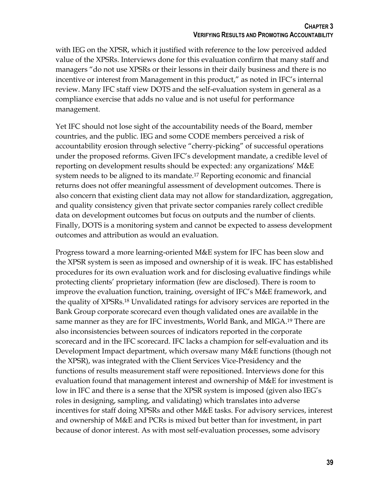with IEG on the XPSR, which it justified with reference to the low perceived added value of the XPSRs. Interviews done for this evaluation confirm that many staff and managers "do not use XPSRs or their lessons in their daily business and there is no incentive or interest from Management in this product," as noted in IFC's internal review. Many IFC staff view DOTS and the self-evaluation system in general as a compliance exercise that adds no value and is not useful for performance management.

Yet IFC should not lose sight of the accountability needs of the Board, member countries, and the public. IEG and some CODE members perceived a risk of accountability erosion through selective "cherry-picking" of successful operations under the proposed reforms. Given IFC's development mandate, a credible level of reporting on development results should be expected: any organizations' M&E system needs to be aligned to its mandate.<sup>17</sup> Reporting economic and financial returns does not offer meaningful assessment of development outcomes. There is also concern that existing client data may not allow for standardization, aggregation, and quality consistency given that private sector companies rarely collect credible data on development outcomes but focus on outputs and the number of clients. Finally, DOTS is a monitoring system and cannot be expected to assess development outcomes and attribution as would an evaluation.

Progress toward a more learning-oriented M&E system for IFC has been slow and the XPSR system is seen as imposed and ownership of it is weak. IFC has established procedures for its own evaluation work and for disclosing evaluative findings while protecting clients' proprietary information (few are disclosed). There is room to improve the evaluation function, training, oversight of IFC's M&E framework, and the quality of XPSRs.<sup>18</sup> Unvalidated ratings for advisory services are reported in the Bank Group corporate scorecard even though validated ones are available in the same manner as they are for IFC investments, World Bank, and MIGA.<sup>19</sup> There are also inconsistencies between sources of indicators reported in the corporate scorecard and in the IFC scorecard. IFC lacks a champion for self-evaluation and its Development Impact department, which oversaw many M&E functions (though not the XPSR), was integrated with the Client Services Vice-Presidency and the functions of results measurement staff were repositioned. Interviews done for this evaluation found that management interest and ownership of M&E for investment is low in IFC and there is a sense that the XPSR system is imposed (given also IEG's roles in designing, sampling, and validating) which translates into adverse incentives for staff doing XPSRs and other M&E tasks. For advisory services, interest and ownership of M&E and PCRs is mixed but better than for investment, in part because of donor interest. As with most self-evaluation processes, some advisory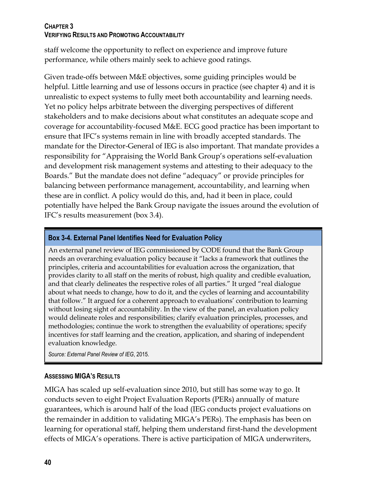staff welcome the opportunity to reflect on experience and improve future performance, while others mainly seek to achieve good ratings.

Given trade-offs between M&E objectives, some guiding principles would be helpful. Little learning and use of lessons occurs in practice (see chapter 4) and it is unrealistic to expect systems to fully meet both accountability and learning needs. Yet no policy helps arbitrate between the diverging perspectives of different stakeholders and to make decisions about what constitutes an adequate scope and coverage for accountability-focused M&E. ECG good practice has been important to ensure that IFC's systems remain in line with broadly accepted standards. The mandate for the Director-General of IEG is also important. That mandate provides a responsibility for "Appraising the World Bank Group's operations self-evaluation and development risk management systems and attesting to their adequacy to the Boards." But the mandate does not define "adequacy" or provide principles for balancing between performance management, accountability, and learning when these are in conflict. A policy would do this, and, had it been in place, could potentially have helped the Bank Group navigate the issues around the evolution of IFC's results measurement (box 3.4).

# **Box 3-4. External Panel Identifies Need for Evaluation Policy**

An external panel review of IEG commissioned by CODE found that the Bank Group needs an overarching evaluation policy because it "lacks a framework that outlines the principles, criteria and accountabilities for evaluation across the organization, that provides clarity to all staff on the merits of robust, high quality and credible evaluation, and that clearly delineates the respective roles of all parties." It urged "real dialogue about what needs to change, how to do it, and the cycles of learning and accountability that follow." It argued for a coherent approach to evaluations' contribution to learning without losing sight of accountability. In the view of the panel, an evaluation policy would delineate roles and responsibilities; clarify evaluation principles, processes, and methodologies; continue the work to strengthen the evaluability of operations; specify incentives for staff learning and the creation, application, and sharing of independent evaluation knowledge.

*Source: External Panel Review of IEG*, 2015.

# **ASSESSING MIGA'S RESULTS**

MIGA has scaled up self-evaluation since 2010, but still has some way to go. It conducts seven to eight Project Evaluation Reports (PERs) annually of mature guarantees, which is around half of the load (IEG conducts project evaluations on the remainder in addition to validating MIGA's PERs). The emphasis has been on learning for operational staff, helping them understand first-hand the development effects of MIGA's operations. There is active participation of MIGA underwriters,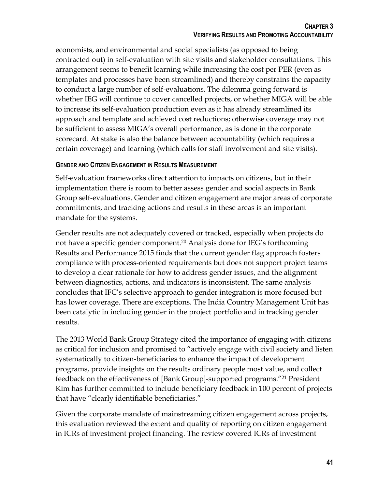economists, and environmental and social specialists (as opposed to being contracted out) in self-evaluation with site visits and stakeholder consultations. This arrangement seems to benefit learning while increasing the cost per PER (even as templates and processes have been streamlined) and thereby constrains the capacity to conduct a large number of self-evaluations. The dilemma going forward is whether IEG will continue to cover cancelled projects, or whether MIGA will be able to increase its self-evaluation production even as it has already streamlined its approach and template and achieved cost reductions; otherwise coverage may not be sufficient to assess MIGA's overall performance, as is done in the corporate scorecard. At stake is also the balance between accountability (which requires a certain coverage) and learning (which calls for staff involvement and site visits).

#### **GENDER AND CITIZEN ENGAGEMENT IN RESULTS MEASUREMENT**

Self-evaluation frameworks direct attention to impacts on citizens, but in their implementation there is room to better assess gender and social aspects in Bank Group self-evaluations. Gender and citizen engagement are major areas of corporate commitments, and tracking actions and results in these areas is an important mandate for the systems.

Gender results are not adequately covered or tracked, especially when projects do not have a specific gender component.<sup>20</sup> Analysis done for IEG's forthcoming Results and Performance 2015 finds that the current gender flag approach fosters compliance with process-oriented requirements but does not support project teams to develop a clear rationale for how to address gender issues, and the alignment between diagnostics, actions, and indicators is inconsistent. The same analysis concludes that IFC's selective approach to gender integration is more focused but has lower coverage. There are exceptions. The India Country Management Unit has been catalytic in including gender in the project portfolio and in tracking gender results.

The 2013 World Bank Group Strategy cited the importance of engaging with citizens as critical for inclusion and promised to "actively engage with civil society and listen systematically to citizen-beneficiaries to enhance the impact of development programs, provide insights on the results ordinary people most value, and collect feedback on the effectiveness of [Bank Group]-supported programs."<sup>21</sup> President Kim has further committed to include beneficiary feedback in 100 percent of projects that have "clearly identifiable beneficiaries."

Given the corporate mandate of mainstreaming citizen engagement across projects, this evaluation reviewed the extent and quality of reporting on citizen engagement in ICRs of investment project financing. The review covered ICRs of investment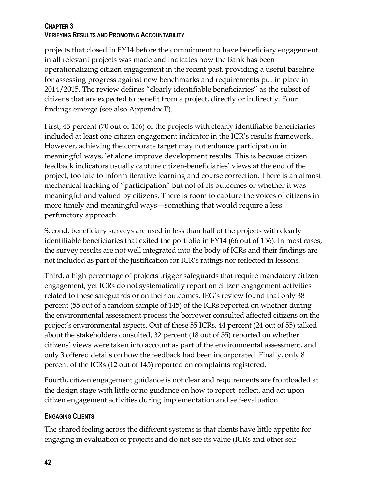projects that closed in FY14 before the commitment to have beneficiary engagement in all relevant projects was made and indicates how the Bank has been operationalizing citizen engagement in the recent past, providing a useful baseline for assessing progress against new benchmarks and requirements put in place in 2014/2015. The review defines "clearly identifiable beneficiaries" as the subset of citizens that are expected to benefit from a project, directly or indirectly. Four findings emerge (see also Appendix E).

First, 45 percent (70 out of 156) of the projects with clearly identifiable beneficiaries included at least one citizen engagement indicator in the ICR's results framework. However, achieving the corporate target may not enhance participation in meaningful ways, let alone improve development results. This is because citizen feedback indicators usually capture citizen-beneficiaries' views at the end of the project, too late to inform iterative learning and course correction. There is an almost mechanical tracking of "participation" but not of its outcomes or whether it was meaningful and valued by citizens. There is room to capture the voices of citizens in more timely and meaningful ways—something that would require a less perfunctory approach.

Second, beneficiary surveys are used in less than half of the projects with clearly identifiable beneficiaries that exited the portfolio in FY14 (66 out of 156). In most cases, the survey results are not well integrated into the body of ICRs and their findings are not included as part of the justification for ICR's ratings nor reflected in lessons.

Third, a high percentage of projects trigger safeguards that require mandatory citizen engagement, yet ICRs do not systematically report on citizen engagement activities related to these safeguards or on their outcomes. IEG's review found that only 38 percent (55 out of a random sample of 145) of the ICRs reported on whether during the environmental assessment process the borrower consulted affected citizens on the project's environmental aspects. Out of these 55 ICRs, 44 percent (24 out of 55) talked about the stakeholders consulted, 32 percent (18 out of 55) reported on whether citizens' views were taken into account as part of the environmental assessment, and only 3 offered details on how the feedback had been incorporated. Finally, only 8 percent of the ICRs (12 out of 145) reported on complaints registered.

Fourth, citizen engagement guidance is not clear and requirements are frontloaded at the design stage with little or no guidance on how to report, reflect, and act upon citizen engagement activities during implementation and self-evaluation.

# **ENGAGING CLIENTS**

The shared feeling across the different systems is that clients have little appetite for engaging in evaluation of projects and do not see its value (ICRs and other self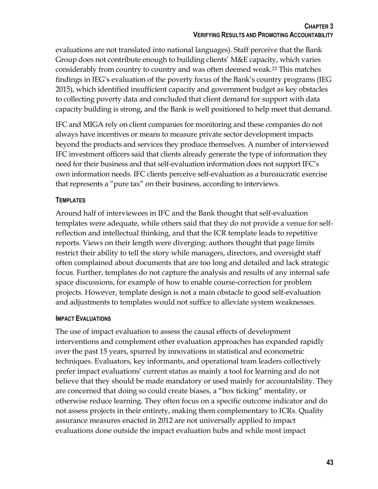evaluations are not translated into national languages). Staff perceive that the Bank Group does not contribute enough to building clients' M&E capacity, which varies considerably from country to country and was often deemed weak.<sup>22</sup> This matches findings in IEG's evaluation of the poverty focus of the Bank's country programs (IEG 2015), which identified insufficient capacity and government budget as key obstacles to collecting poverty data and concluded that client demand for support with data capacity building is strong, and the Bank is well positioned to help meet that demand.

IFC and MIGA rely on client companies for monitoring and these companies do not always have incentives or means to measure private sector development impacts beyond the products and services they produce themselves. A number of interviewed IFC investment officers said that clients already generate the type of information they need for their business and that self-evaluation information does not support IFC's own information needs. IFC clients perceive self-evaluation as a bureaucratic exercise that represents a "pure tax" on their business, according to interviews.

# **TEMPLATES**

Around half of interviewees in IFC and the Bank thought that self-evaluation templates were adequate, while others said that they do not provide a venue for selfreflection and intellectual thinking, and that the ICR template leads to repetitive reports. Views on their length were diverging: authors thought that page limits restrict their ability to tell the story while managers, directors, and oversight staff often complained about documents that are too long and detailed and lack strategic focus. Further, templates do not capture the analysis and results of any internal safe space discussions, for example of how to enable course-correction for problem projects. However, template design is not a main obstacle to good self-evaluation and adjustments to templates would not suffice to alleviate system weaknesses.

# **IMPACT EVALUATIONS**

The use of impact evaluation to assess the causal effects of development interventions and complement other evaluation approaches has expanded rapidly over the past 15 years, spurred by innovations in statistical and econometric techniques. Evaluators, key informants, and operational team leaders collectively prefer impact evaluations' current status as mainly a tool for learning and do not believe that they should be made mandatory or used mainly for accountability. They are concerned that doing so could create biases, a "box ticking" mentality, or otherwise reduce learning. They often focus on a specific outcome indicator and do not assess projects in their entirety, making them complementary to ICRs. Quality assurance measures enacted in 2012 are not universally applied to impact evaluations done outside the impact evaluation hubs and while most impact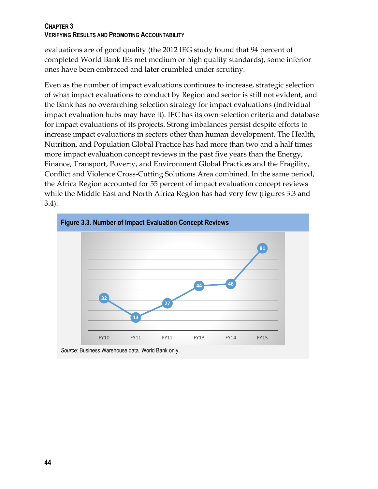evaluations are of good quality (the 2012 IEG study found that 94 percent of completed World Bank IEs met medium or high quality standards), some inferior ones have been embraced and later crumbled under scrutiny.

Even as the number of impact evaluations continues to increase, strategic selection of what impact evaluations to conduct by Region and sector is still not evident, and the Bank has no overarching selection strategy for impact evaluations (individual impact evaluation hubs may have it). IFC has its own selection criteria and database for impact evaluations of its projects. Strong imbalances persist despite efforts to increase impact evaluations in sectors other than human development. The Health, Nutrition, and Population Global Practice has had more than two and a half times more impact evaluation concept reviews in the past five years than the Energy, Finance, Transport, Poverty, and Environment Global Practices and the Fragility, Conflict and Violence Cross-Cutting Solutions Area combined. In the same period, the Africa Region accounted for 55 percent of impact evaluation concept reviews while the Middle East and North Africa Region has had very few (figures 3.3 and 3.4).



*Source:* Business Warehouse data. World Bank only.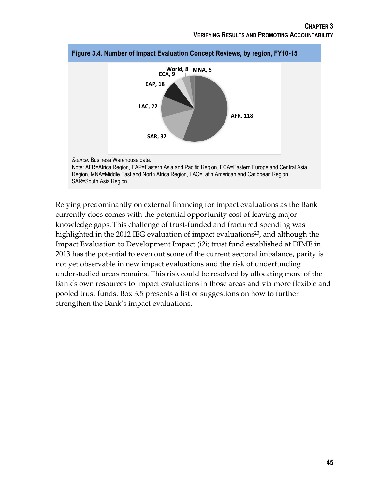

Relying predominantly on external financing for impact evaluations as the Bank currently does comes with the potential opportunity cost of leaving major knowledge gaps. This challenge of trust-funded and fractured spending was highlighted in the 2012 IEG evaluation of impact evaluations<sup>23</sup>, and although the Impact Evaluation to Development Impact (i2i) trust fund established at DIME in 2013 has the potential to even out some of the current sectoral imbalance, parity is not yet observable in new impact evaluations and the risk of underfunding understudied areas remains. This risk could be resolved by allocating more of the Bank's own resources to impact evaluations in those areas and via more flexible and pooled trust funds. Box 3.5 presents a list of suggestions on how to further strengthen the Bank's impact evaluations.

#### **Figure 3.4. Number of Impact Evaluation Concept Reviews, by region, FY10-15**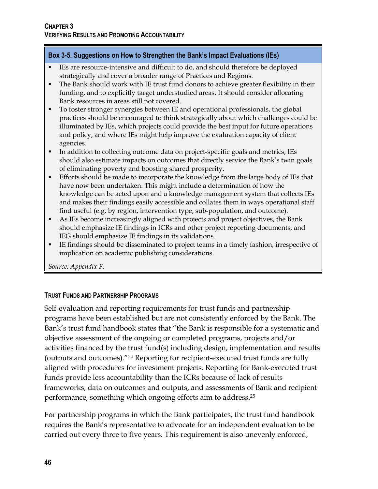#### **Box 3-5. Suggestions on How to Strengthen the Bank's Impact Evaluations (IEs)**

- IEs are resource-intensive and difficult to do, and should therefore be deployed strategically and cover a broader range of Practices and Regions.
- The Bank should work with IE trust fund donors to achieve greater flexibility in their funding, and to explicitly target understudied areas. It should consider allocating Bank resources in areas still not covered.
- To foster stronger synergies between IE and operational professionals, the global practices should be encouraged to think strategically about which challenges could be illuminated by IEs, which projects could provide the best input for future operations and policy, and where IEs might help improve the evaluation capacity of client agencies.
- In addition to collecting outcome data on project-specific goals and metrics, IEs should also estimate impacts on outcomes that directly service the Bank's twin goals of eliminating poverty and boosting shared prosperity.
- Efforts should be made to incorporate the knowledge from the large body of IEs that have now been undertaken. This might include a determination of how the knowledge can be acted upon and a knowledge management system that collects IEs and makes their findings easily accessible and collates them in ways operational staff find useful (e.g. by region, intervention type, sub-population, and outcome).
- As IEs become increasingly aligned with projects and project objectives, the Bank should emphasize IE findings in ICRs and other project reporting documents, and IEG should emphasize IE findings in its validations.
- IE findings should be disseminated to project teams in a timely fashion, irrespective of implication on academic publishing considerations.

*Source: Appendix F.*

# **TRUST FUNDS AND PARTNERSHIP PROGRAMS**

Self-evaluation and reporting requirements for trust funds and partnership programs have been established but are not consistently enforced by the Bank. The Bank's trust fund handbook states that "the Bank is responsible for a systematic and objective assessment of the ongoing or completed programs, projects and/or activities financed by the trust fund(s) including design, implementation and results (outputs and outcomes)."<sup>24</sup> Reporting for recipient-executed trust funds are fully aligned with procedures for investment projects. Reporting for Bank-executed trust funds provide less accountability than the ICRs because of lack of results frameworks, data on outcomes and outputs, and assessments of Bank and recipient performance, something which ongoing efforts aim to address. 25

For partnership programs in which the Bank participates, the trust fund handbook requires the Bank's representative to advocate for an independent evaluation to be carried out every three to five years. This requirement is also unevenly enforced,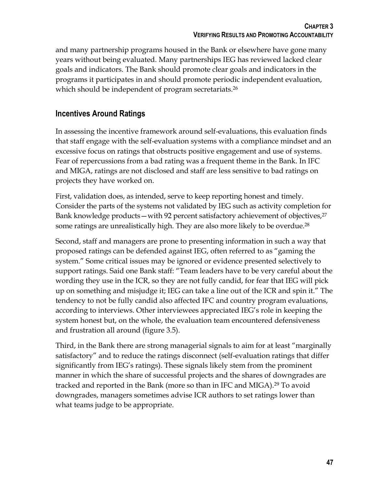and many partnership programs housed in the Bank or elsewhere have gone many years without being evaluated. Many partnerships IEG has reviewed lacked clear goals and indicators. The Bank should promote clear goals and indicators in the programs it participates in and should promote periodic independent evaluation, which should be independent of program secretariats.<sup>26</sup>

# **Incentives Around Ratings**

In assessing the incentive framework around self-evaluations, this evaluation finds that staff engage with the self-evaluation systems with a compliance mindset and an excessive focus on ratings that obstructs positive engagement and use of systems. Fear of repercussions from a bad rating was a frequent theme in the Bank. In IFC and MIGA, ratings are not disclosed and staff are less sensitive to bad ratings on projects they have worked on.

First, validation does, as intended, serve to keep reporting honest and timely. Consider the parts of the systems not validated by IEG such as activity completion for Bank knowledge products—with 92 percent satisfactory achievement of objectives, 27 some ratings are unrealistically high. They are also more likely to be overdue.<sup>28</sup>

Second, staff and managers are prone to presenting information in such a way that proposed ratings can be defended against IEG, often referred to as "gaming the system." Some critical issues may be ignored or evidence presented selectively to support ratings. Said one Bank staff: "Team leaders have to be very careful about the wording they use in the ICR, so they are not fully candid, for fear that IEG will pick up on something and misjudge it; IEG can take a line out of the ICR and spin it." The tendency to not be fully candid also affected IFC and country program evaluations, according to interviews. Other interviewees appreciated IEG's role in keeping the system honest but, on the whole, the evaluation team encountered defensiveness and frustration all around (figure 3.5).

Third, in the Bank there are strong managerial signals to aim for at least "marginally satisfactory" and to reduce the ratings disconnect (self-evaluation ratings that differ significantly from IEG's ratings). These signals likely stem from the prominent manner in which the share of successful projects and the shares of downgrades are tracked and reported in the Bank (more so than in IFC and MIGA).<sup>29</sup> To avoid downgrades, managers sometimes advise ICR authors to set ratings lower than what teams judge to be appropriate.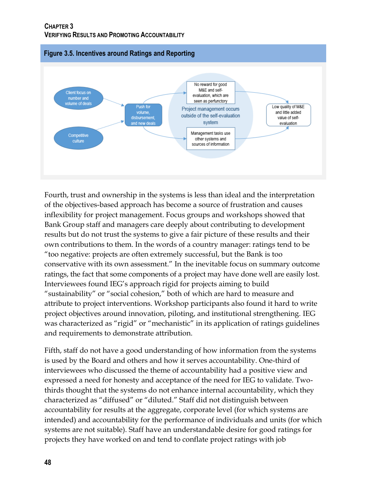

Fourth, trust and ownership in the systems is less than ideal and the interpretation of the objectives-based approach has become a source of frustration and causes inflexibility for project management. Focus groups and workshops showed that Bank Group staff and managers care deeply about contributing to development results but do not trust the systems to give a fair picture of these results and their own contributions to them. In the words of a country manager: ratings tend to be "too negative: projects are often extremely successful, but the Bank is too conservative with its own assessment." In the inevitable focus on summary outcome ratings, the fact that some components of a project may have done well are easily lost. Interviewees found IEG's approach rigid for projects aiming to build "sustainability" or "social cohesion," both of which are hard to measure and attribute to project interventions. Workshop participants also found it hard to write project objectives around innovation, piloting, and institutional strengthening. IEG was characterized as "rigid" or "mechanistic" in its application of ratings guidelines and requirements to demonstrate attribution.

Fifth, staff do not have a good understanding of how information from the systems is used by the Board and others and how it serves accountability. One-third of interviewees who discussed the theme of accountability had a positive view and expressed a need for honesty and acceptance of the need for IEG to validate. Twothirds thought that the systems do not enhance internal accountability, which they characterized as "diffused" or "diluted." Staff did not distinguish between accountability for results at the aggregate, corporate level (for which systems are intended) and accountability for the performance of individuals and units (for which systems are not suitable). Staff have an understandable desire for good ratings for projects they have worked on and tend to conflate project ratings with job